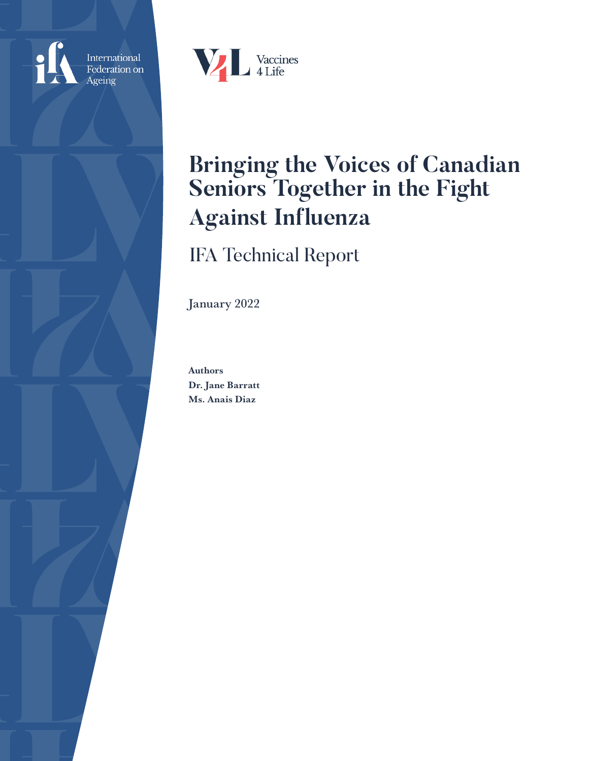

International<br>Federation on Ageing



# **Bringing the Voices of Canadian Seniors Together in the Fight Against Influenza**

IFA Technical Report

January 2022

Authors Dr. Jane Barratt Ms. Anais Diaz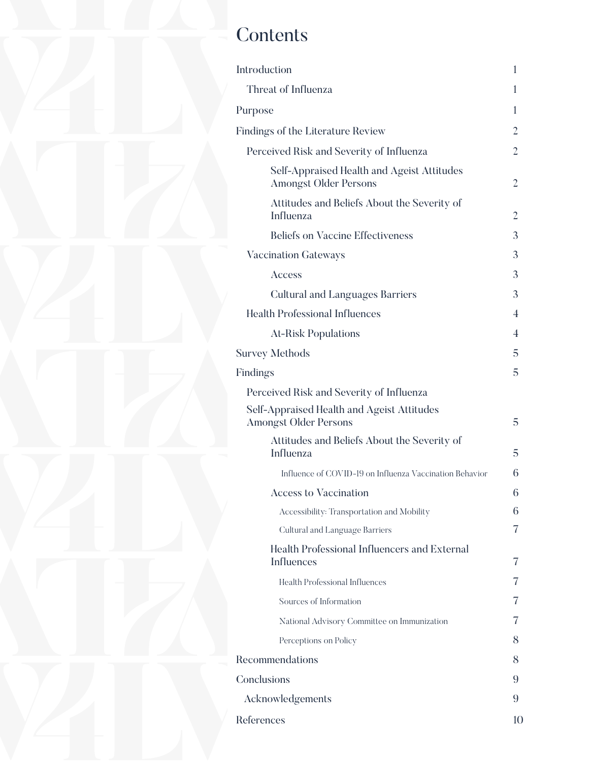# **Contents**

| Introduction                                                               | 1                        |
|----------------------------------------------------------------------------|--------------------------|
| Threat of Influenza                                                        | 1                        |
| Purpose                                                                    | 1                        |
| Findings of the Literature Review                                          | 2                        |
| Perceived Risk and Severity of Influenza                                   | $\overline{2}$           |
| Self-Appraised Health and Ageist Attitudes<br><b>Amongst Older Persons</b> | 2                        |
| Attitudes and Beliefs About the Severity of<br>Influenza                   | 2                        |
| <b>Beliefs on Vaccine Effectiveness</b>                                    | 3                        |
| <b>Vaccination Gateways</b>                                                | 3                        |
| Access                                                                     | 3                        |
| <b>Cultural and Languages Barriers</b>                                     | 3                        |
| <b>Health Professional Influences</b>                                      | $\overline{\mathcal{A}}$ |
| <b>At-Risk Populations</b>                                                 | 4                        |
| <b>Survey Methods</b>                                                      | 5                        |
| Findings                                                                   | 5                        |
| Perceived Risk and Severity of Influenza                                   |                          |
| Self-Appraised Health and Ageist Attitudes<br><b>Amongst Older Persons</b> | 5                        |
| Attitudes and Beliefs About the Severity of<br>Influenza                   | 5                        |
| Influence of COVID-19 on Influenza Vaccination Behavior                    | 6                        |
| <b>Access to Vaccination</b>                                               | 6                        |
| Accessibility: Transportation and Mobility                                 | 6                        |
| Cultural and Language Barriers                                             | 7                        |
| Health Professional Influencers and External<br><b>Influences</b>          | 7                        |
| Health Professional Influences                                             | 7                        |
| Sources of Information                                                     | 7                        |
| National Advisory Committee on Immunization                                | 7                        |
| Perceptions on Policy                                                      | 8                        |
| Recommendations                                                            | 8                        |
| Conclusions                                                                | 9                        |
| Acknowledgements                                                           | 9                        |
| References                                                                 | 10                       |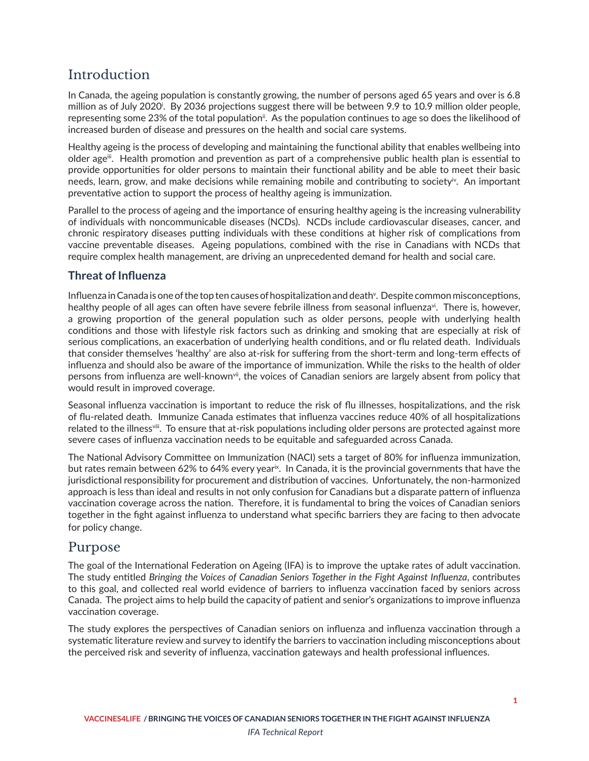# <span id="page-2-0"></span>Introduction

In Canada, the ageing population is constantly growing, the number of persons aged 65 years and over is 6.8 m[i](#page-11-0)llion as of July 2020. By 2036 projections suggest there will be between 9.9 to 10.9 million older people, representing some 23% of the total population<sup>[ii](#page-11-0)</sup>. As the population continues to age so does the likelihood of increased burden of disease and pressures on the health and social care systems.

Healthy ageing is the process of developing and maintaining the functional ability that enables wellbeing into older age<sup>ii</sup>. Health promotion and prevention as part of a comprehensive public health plan is essential to provide opportunities for older persons to maintain their functional ability and be able to meet their basic needs, learn, grow, and make decisions while remaining mobile and contributing to society<sup>iy</sup>. An important preventative action to support the process of healthy ageing is immunization.

Parallel to the process of ageing and the importance of ensuring healthy ageing is the increasing vulnerability of individuals with noncommunicable diseases (NCDs). NCDs include cardiovascular diseases, cancer, and chronic respiratory diseases putting individuals with these conditions at higher risk of complications from vaccine preventable diseases. Ageing populations, combined with the rise in Canadians with NCDs that require complex health management, are driving an unprecedented demand for health and social care.

## **Threat of Influenza**

Influenza in Canada is one of the top ten causes of hospitalization and deat[hv](#page-11-0) . Despite common misconceptions, healthy people of all ages can often have severe febrile illness from seasonal influenza<sup>[vi](#page-11-0)</sup>. There is, however, a growing proportion of the general population such as older persons, people with underlying health conditions and those with lifestyle risk factors such as drinking and smoking that are especially at risk of serious complications, an exacerbation of underlying health conditions, and or flu related death. Individuals that consider themselves 'healthy' are also at-risk for suffering from the short-term and long-term effects of influenza and should also be aware of the importance of immunization. While the risks to the health of older persons from influenza are well-known<sup>vii</sup>, the voices of Canadian seniors are largely absent from policy that would result in improved coverage.

Seasonal influenza vaccination is important to reduce the risk of flu illnesses, hospitalizations, and the risk of flu-related death. Immunize Canada estimates that influenza vaccines reduce 40% of all hospitalizations related to the illness[viii.](#page-11-0) To ensure that at-risk populations including older persons are protected against more severe cases of influenza vaccination needs to be equitable and safeguarded across Canada.

The National Advisory Committee on Immunization (NACI) sets a target of 80% for influenza immunization, but rates remain between 62% to 64% every year<sup>ix</sup>. In Canada, it is the provincial governments that have the jurisdictional responsibility for procurement and distribution of vaccines. Unfortunately, the non-harmonized approach is less than ideal and results in not only confusion for Canadians but a disparate pattern of influenza vaccination coverage across the nation. Therefore, it is fundamental to bring the voices of Canadian seniors together in the fight against influenza to understand what specific barriers they are facing to then advocate for policy change.

## Purpose

The goal of the International Federation on Ageing (IFA) is to improve the uptake rates of adult vaccination. The study entitled *Bringing the Voices of Canadian Seniors Together in the Fight Against Influenza*, contributes to this goal, and collected real world evidence of barriers to influenza vaccination faced by seniors across Canada. The project aims to help build the capacity of patient and senior's organizations to improve influenza vaccination coverage.

The study explores the perspectives of Canadian seniors on influenza and influenza vaccination through a systematic literature review and survey to identify the barriers to vaccination including misconceptions about the perceived risk and severity of influenza, vaccination gateways and health professional influences.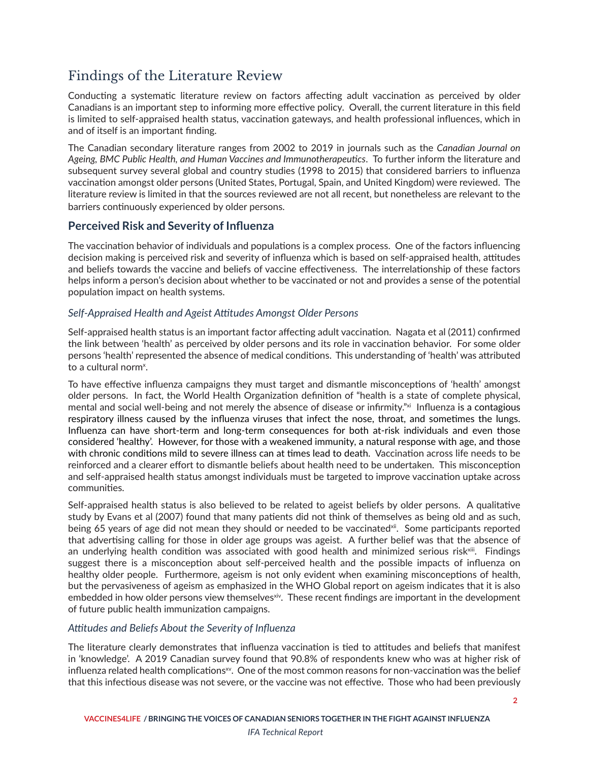# <span id="page-3-0"></span>Findings of the Literature Review

Conducting a systematic literature review on factors affecting adult vaccination as perceived by older Canadians is an important step to informing more effective policy. Overall, the current literature in this field is limited to self-appraised health status, vaccination gateways, and health professional influences, which in and of itself is an important finding.

The Canadian secondary literature ranges from 2002 to 2019 in journals such as the *Canadian Journal on Ageing, BMC Public Health, and Human Vaccines and Immunotherapeutics*. To further inform the literature and subsequent survey several global and country studies (1998 to 2015) that considered barriers to influenza vaccination amongst older persons (United States, Portugal, Spain, and United Kingdom) were reviewed. The literature review is limited in that the sources reviewed are not all recent, but nonetheless are relevant to the barriers continuously experienced by older persons.

## **Perceived Risk and Severity of Influenza**

The vaccination behavior of individuals and populations is a complex process. One of the factors influencing decision making is perceived risk and severity of influenza which is based on self-appraised health, attitudes and beliefs towards the vaccine and beliefs of vaccine effectiveness. The interrelationship of these factors helps inform a person's decision about whether to be vaccinated or not and provides a sense of the potential population impact on health systems.

## *Self-Appraised Health and Ageist Attitudes Amongst Older Persons*

Self-appraised health status is an important factor affecting adult vaccination. Nagata et al (2011) confirmed the link between 'health' as perceived by older persons and its role in vaccination behavior. For some older persons 'health' represented the absence of medical conditions. This understanding of 'health' was attributed to a cultural norm<sup>[x](#page-11-0)</sup>.

To have effective influenza campaigns they must target and dismantle misconceptions of 'health' amongst older persons. In fact, the World Health Organization definition of "health is a state of complete physical, mental and social well-being and not merely the absence of disease or infirmity.["xi](#page-11-0) Influenza is a contagious respiratory illness caused by the influenza viruses that infect the nose, throat, and sometimes the lungs. Influenza can have short-term and long-term consequences for both at-risk individuals and even those considered 'healthy'. However, for those with a weakened immunity, a natural response with age, and those with chronic conditions mild to severe illness can at times lead to death. Vaccination across life needs to be reinforced and a clearer effort to dismantle beliefs about health need to be undertaken. This misconception and self-appraised health status amongst individuals must be targeted to improve vaccination uptake across communities.

Self-appraised health status is also believed to be related to ageist beliefs by older persons. A qualitative study by Evans et al (2007) found that many patients did not think of themselves as being old and as such, being 65 years of age did not mean they should or needed to be vaccinated<sup>xii</sup>. Some participants reported that advertising calling for those in older age groups was ageist. A further belief was that the absence of an underlying health condition was associated with good health and minimized serious risk<sup>xiii</sup>. Findings suggest there is a misconception about self-perceived health and the possible impacts of influenza on healthy older people. Furthermore, ageism is not only evident when examining misconceptions of health, but the pervasiveness of ageism as emphasized in the WHO Global report on ageism indicates that it is also embedded in how older persons view themselves<sup>[xiv](#page-11-0)</sup>. These recent findings are important in the development of future public health immunization campaigns.

## *Attitudes and Beliefs About the Severity of Influenza*

The literature clearly demonstrates that influenza vaccination is tied to attitudes and beliefs that manifest in 'knowledge'. A 2019 Canadian survey found that 90.8% of respondents knew who was at higher risk of influenza related health complications<sup>xy</sup>. One of the most common reasons for non-vaccination was the belief that this infectious disease was not severe, or the vaccine was not effective. Those who had been previously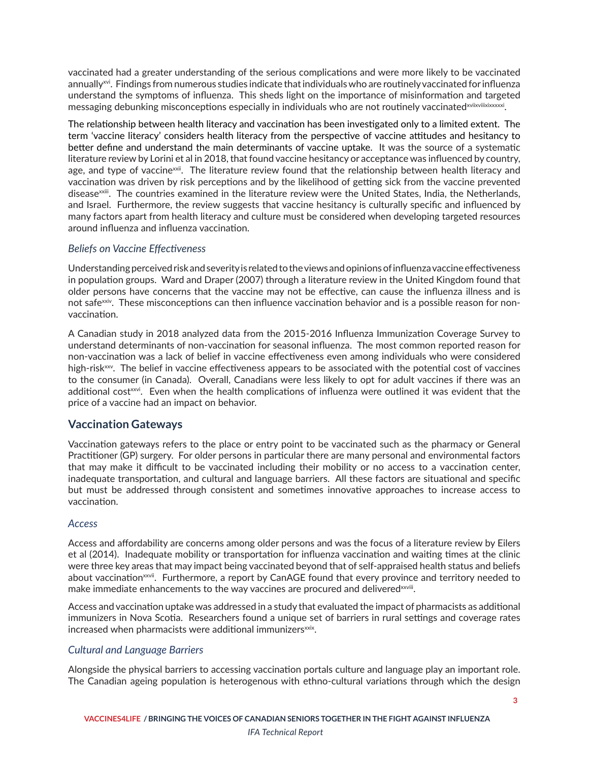<span id="page-4-0"></span>vaccinated had a greater understanding of the serious complications and were more likely to be vaccinated annually<sup>xvi</sup>. Findings from numerous studies indicate that individuals who are routinely vaccinated for influenza understand the symptoms of influenza. This sheds light on the importance of misinformation and targeted messaging debunking misconceptions especially in individuals who are not routinely vaccinatedxviixviixixxxxxi.

The relationship between health literacy and vaccination has been investigated only to a limited extent. The term 'vaccine literacy' considers health literacy from the perspective of vaccine attitudes and hesitancy to better define and understand the main determinants of vaccine uptake. It was the source of a systematic literature review by Lorini et al in 2018, that found vaccine hesitancy or acceptance was influenced by country, age, and type of vaccine<sup>[xxii](#page-12-0)</sup>. The literature review found that the relationship between health literacy and vaccination was driven by risk perceptions and by the likelihood of getting sick from the vaccine prevented diseas[exxiii.](#page-12-0) The countries examined in the literature review were the United States, India, the Netherlands, and Israel. Furthermore, the review suggests that vaccine hesitancy is culturally specific and influenced by many factors apart from health literacy and culture must be considered when developing targeted resources around influenza and influenza vaccination.

## *Beliefs on Vaccine Effectiveness*

Understanding perceived risk and severity is related to the views and opinions of influenza vaccine effectiveness in population groups. Ward and Draper (2007) through a literature review in the United Kingdom found that older persons have concerns that the vaccine may not be effective, can cause the influenza illness and is not safe<sup>xxiv</sup>. These misconceptions can then influence vaccination behavior and is a possible reason for nonvaccination.

A Canadian study in 2018 analyzed data from the 2015-2016 Influenza Immunization Coverage Survey to understand determinants of non-vaccination for seasonal influenza. The most common reported reason for non-vaccination was a lack of belief in vaccine effectiveness even among individuals who were considered high-risk<sup>[xxv](#page-12-0)</sup>. The belief in vaccine effectiveness appears to be associated with the potential cost of vaccines to the consumer (in Canada). Overall, Canadians were less likely to opt for adult vaccines if there was an additional cost<sup>[xxvi](#page-12-0)</sup>. Even when the health complications of influenza were outlined it was evident that the price of a vaccine had an impact on behavior.

## **Vaccination Gateways**

Vaccination gateways refers to the place or entry point to be vaccinated such as the pharmacy or General Practitioner (GP) surgery. For older persons in particular there are many personal and environmental factors that may make it difficult to be vaccinated including their mobility or no access to a vaccination center, inadequate transportation, and cultural and language barriers. All these factors are situational and specific but must be addressed through consistent and sometimes innovative approaches to increase access to vaccination.

### *Access*

Access and affordability are concerns among older persons and was the focus of a literature review by Eilers et al (2014). Inadequate mobility or transportation for influenza vaccination and waiting times at the clinic were three key areas that may impact being vaccinated beyond that of self-appraised health status and beliefs about vaccination<sup>[xxvii](#page-12-0)</sup>. Furthermore, a report by CanAGE found that every province and territory needed to make immediate enhancements to the way vaccines are procured and delivered x viii.

Access and vaccination uptake was addressed in a study that evaluated the impact of pharmacists as additional immunizers in Nova Scotia. Researchers found a unique set of barriers in rural settings and coverage rates increased when pharmacists were additional immunizers<sup>xxix</sup>.

### *Cultural and Language Barriers*

Alongside the physical barriers to accessing vaccination portals culture and language play an important role. The Canadian ageing population is heterogenous with ethno-cultural variations through which the design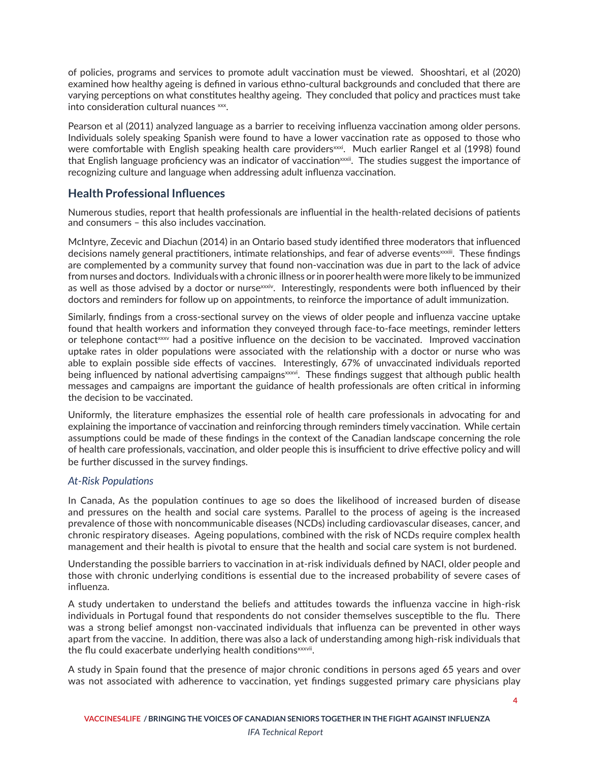<span id="page-5-0"></span>of policies, programs and services to promote adult vaccination must be viewed. Shooshtari, et al (2020) examined how healthy ageing is defined in various ethno-cultural backgrounds and concluded that there are varying perceptions on what constitutes healthy ageing. They concluded that policy and practices must take into consideration cultural nuances [xxx](#page-12-0).

Pearson et al (2011) analyzed language as a barrier to receiving influenza vaccination among older persons. Individuals solely speaking Spanish were found to have a lower vaccination rate as opposed to those who were comfortable with English speaking health care providers<sup>xxxi</sup>. Much earlier Rangel et al (1998) found that English language proficiency was an indicator of vaccination<sup>[xxxii](#page-12-0)</sup>. The studies suggest the importance of recognizing culture and language when addressing adult influenza vaccination.

## **Health Professional Influences**

Numerous studies, report that health professionals are influential in the health-related decisions of patients and consumers – this also includes vaccination.

McIntyre, Zecevic and Diachun (2014) in an Ontario based study identified three moderators that influenced decisions namely general practitioners, intimate relationships, and fear of adverse events[xxxiii.](#page-13-0) These findings are complemented by a community survey that found non-vaccination was due in part to the lack of advice from nurses and doctors. Individuals with a chronic illness or in poorer health were more likely to be immunized as well as those advised by a doctor or nurs[exxxiv](#page-13-0). Interestingly, respondents were both influenced by their doctors and reminders for follow up on appointments, to reinforce the importance of adult immunization.

Similarly, findings from a cross-sectional survey on the views of older people and influenza vaccine uptake found that health workers and information they conveyed through face-to-face meetings, reminder letters or telephone contact  $\alpha x$  had a positive influence on the decision to be vaccinated. Improved vaccination uptake rates in older populations were associated with the relationship with a doctor or nurse who was able to explain possible side effects of vaccines. Interestingly, 67% of unvaccinated individuals reported being influenced by national advertising campaigns<sup>xxxvi</sup>. These findings suggest that although public health messages and campaigns are important the guidance of health professionals are often critical in informing the decision to be vaccinated.

Uniformly, the literature emphasizes the essential role of health care professionals in advocating for and explaining the importance of vaccination and reinforcing through reminders timely vaccination. While certain assumptions could be made of these findings in the context of the Canadian landscape concerning the role of health care professionals, vaccination, and older people this is insufficient to drive effective policy and will be further discussed in the survey findings.

### *At-Risk Populations*

In Canada, As the population continues to age so does the likelihood of increased burden of disease and pressures on the health and social care systems. Parallel to the process of ageing is the increased prevalence of those with noncommunicable diseases (NCDs) including cardiovascular diseases, cancer, and chronic respiratory diseases. Ageing populations, combined with the risk of NCDs require complex health management and their health is pivotal to ensure that the health and social care system is not burdened.

Understanding the possible barriers to vaccination in at-risk individuals defined by NACI, older people and those with chronic underlying conditions is essential due to the increased probability of severe cases of influenza.

A study undertaken to understand the beliefs and attitudes towards the influenza vaccine in high-risk individuals in Portugal found that respondents do not consider themselves susceptible to the flu. There was a strong belief amongst non-vaccinated individuals that influenza can be prevented in other ways apart from the vaccine. In addition, there was also a lack of understanding among high-risk individuals that the flu could exacerbate underlying health conditions<sup>xxxvii</sup>.

A study in Spain found that the presence of major chronic conditions in persons aged 65 years and over was not associated with adherence to vaccination, yet findings suggested primary care physicians play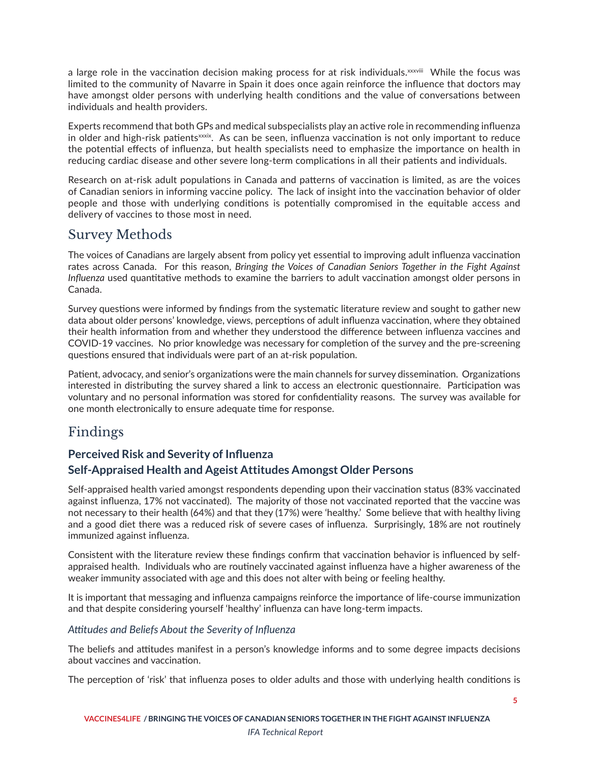<span id="page-6-0"></span>a large role in the vaccination decision making process for at risk individuals.<sup>[xxxviii](#page-13-0)</sup> While the focus was limited to the community of Navarre in Spain it does once again reinforce the influence that doctors may have amongst older persons with underlying health conditions and the value of conversations between individuals and health providers.

Experts recommend that both GPs and medical subspecialists play an active role in recommending influenza in older and high-risk patients<sup>xxxix</sup>. As can be seen, influenza vaccination is not only important to reduce the potential effects of influenza, but health specialists need to emphasize the importance on health in reducing cardiac disease and other severe long-term complications in all their patients and individuals.

Research on at-risk adult populations in Canada and patterns of vaccination is limited, as are the voices of Canadian seniors in informing vaccine policy. The lack of insight into the vaccination behavior of older people and those with underlying conditions is potentially compromised in the equitable access and delivery of vaccines to those most in need.

## Survey Methods

The voices of Canadians are largely absent from policy yet essential to improving adult influenza vaccination rates across Canada. For this reason, *Bringing the Voices of Canadian Seniors Together in the Fight Against Influenza* used quantitative methods to examine the barriers to adult vaccination amongst older persons in Canada.

Survey questions were informed by findings from the systematic literature review and sought to gather new data about older persons' knowledge, views, perceptions of adult influenza vaccination, where they obtained their health information from and whether they understood the difference between influenza vaccines and COVID-19 vaccines. No prior knowledge was necessary for completion of the survey and the pre-screening questions ensured that individuals were part of an at-risk population.

Patient, advocacy, and senior's organizations were the main channels for survey dissemination. Organizations interested in distributing the survey shared a link to access an electronic questionnaire. Participation was voluntary and no personal information was stored for confidentiality reasons. The survey was available for one month electronically to ensure adequate time for response.

# Findings

## **Perceived Risk and Severity of Influenza**

## **Self-Appraised Health and Ageist Attitudes Amongst Older Persons**

Self-appraised health varied amongst respondents depending upon their vaccination status (83% vaccinated against influenza, 17% not vaccinated). The majority of those not vaccinated reported that the vaccine was not necessary to their health (64%) and that they (17%) were 'healthy.' Some believe that with healthy living and a good diet there was a reduced risk of severe cases of influenza. Surprisingly, 18% are not routinely immunized against influenza.

Consistent with the literature review these findings confirm that vaccination behavior is influenced by selfappraised health. Individuals who are routinely vaccinated against influenza have a higher awareness of the weaker immunity associated with age and this does not alter with being or feeling healthy.

It is important that messaging and influenza campaigns reinforce the importance of life-course immunization and that despite considering yourself 'healthy' influenza can have long-term impacts.

### *Attitudes and Beliefs About the Severity of Influenza*

The beliefs and attitudes manifest in a person's knowledge informs and to some degree impacts decisions about vaccines and vaccination.

The perception of 'risk' that influenza poses to older adults and those with underlying health conditions is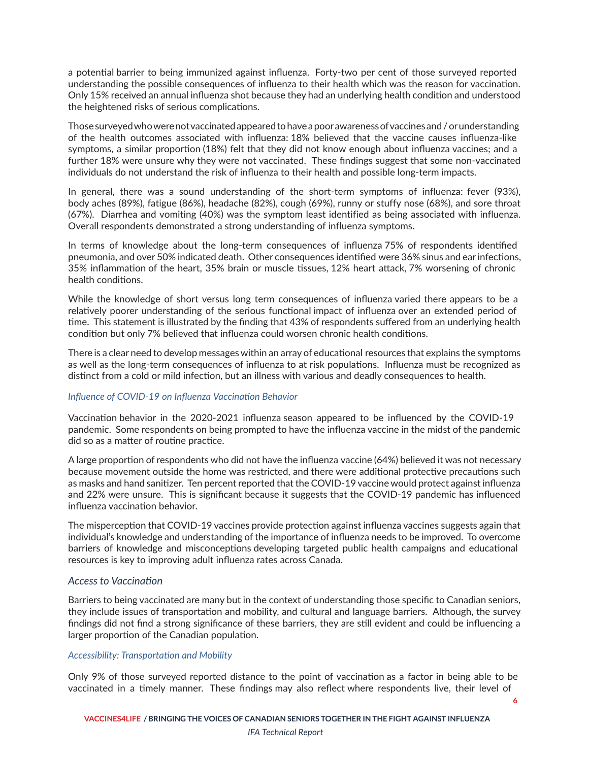a potential barrier to being immunized against influenza. Forty-two per cent of those surveyed reported understanding the possible consequences of influenza to their health which was the reason for vaccination. Only 15% received an annual influenza shot because they had an underlying health condition and understood the heightened risks of serious complications.

Thosesurveyedwho werenotvaccinatedappearedtohavea poorawarenessofvaccinesand / orunderstanding of the health outcomes associated with influenza: 18% believed that the vaccine causes influenza-like symptoms, a similar proportion (18%) felt that they did not know enough about influenza vaccines; and a further 18% were unsure why they were not vaccinated. These findings suggest that some non-vaccinated individuals do not understand the risk of influenza to their health and possible long-term impacts.

In general, there was a sound understanding of the short-term symptoms of influenza: fever (93%), body aches (89%), fatigue (86%), headache (82%), cough (69%), runny or stuffy nose (68%), and sore throat (67%). Diarrhea and vomiting (40%) was the symptom least identified as being associated with influenza. Overall respondents demonstrated a strong understanding of influenza symptoms.

In terms of knowledge about the long-term consequences of influenza 75% of respondents identified pneumonia, and over 50% indicated death. Other consequences identified were 36% sinus and ear infections, 35% inflammation of the heart, 35% brain or muscle tissues, 12% heart attack, 7% worsening of chronic health conditions.

While the knowledge of short versus long term consequences of influenza varied there appears to be a relatively poorer understanding of the serious functional impact of influenza over an extended period of time. This statement is illustrated by the finding that 43% of respondents suffered from an underlying health condition but only 7% believed that influenza could worsen chronic health conditions.

There is a clear need to develop messageswithin an array of educational resources that explains the symptoms as well as the long-term consequences of influenza to at risk populations. Influenza must be recognized as distinct from a cold or mild infection, but an illness with various and deadly consequences to health.

#### *Influence of COVID-19 on Influenza Vaccination Behavior*

Vaccination behavior in the 2020-2021 influenza season appeared to be influenced by the COVID-19 pandemic. Some respondents on being prompted to have the influenza vaccine in the midst of the pandemic did so as a matter of routine practice.

A large proportion of respondents who did not have the influenza vaccine (64%) believed it was not necessary because movement outside the home was restricted, and there were additional protective precautions such as masks and hand sanitizer. Ten percent reported that the COVID-19 vaccine would protect against influenza and 22% were unsure. This is significant because it suggests that the COVID-19 pandemic has influenced influenza vaccination behavior.

The misperception that COVID-19 vaccines provide protection against influenza vaccines suggests again that individual's knowledge and understanding of the importance of influenza needs to be improved. To overcome barriers of knowledge and misconceptions developing targeted public health campaigns and educational resources is key to improving adult influenza rates across Canada.

### *Access to Vaccination*

Barriers to being vaccinated are many but in the context of understanding those specific to Canadian seniors, they include issues of transportation and mobility, and cultural and language barriers. Although, the survey findings did not find a strong significance of these barriers, they are still evident and could be influencing a larger proportion of the Canadian population.

#### *Accessibility: Transportation and Mobility*

Only 9% of those surveyed reported distance to the point of vaccination as a factor in being able to be vaccinated in a timely manner. These findings may also reflect where respondents live, their level of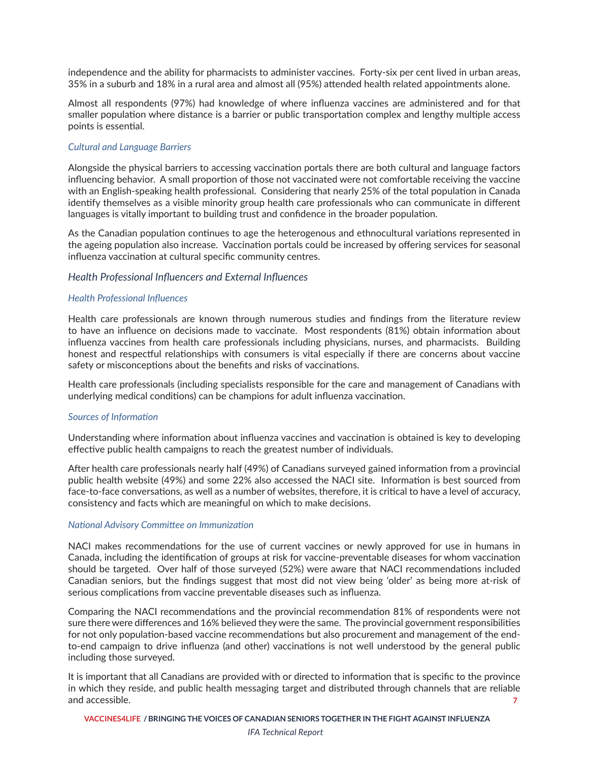independence and the ability for pharmacists to administer vaccines. Forty-six per cent lived in urban areas, 35% in a suburb and 18% in a rural area and almost all (95%) attended health related appointments alone.

Almost all respondents (97%) had knowledge of where influenza vaccines are administered and for that smaller population where distance is a barrier or public transportation complex and lengthy multiple access points is essential.

#### *Cultural and Language Barriers*

Alongside the physical barriers to accessing vaccination portals there are both cultural and language factors influencing behavior. A small proportion of those not vaccinated were not comfortable receiving the vaccine with an English-speaking health professional. Considering that nearly 25% of the total population in Canada identify themselves as a visible minority group health care professionals who can communicate in different languages is vitally important to building trust and confidence in the broader population.

As the Canadian population continues to age the heterogenous and ethnocultural variations represented in the ageing population also increase. Vaccination portals could be increased by offering services for seasonal influenza vaccination at cultural specific community centres.

#### *Health Professional Influencers and External Influences*

#### *Health Professional Influences*

Health care professionals are known through numerous studies and findings from the literature review to have an influence on decisions made to vaccinate. Most respondents (81%) obtain information about influenza vaccines from health care professionals including physicians, nurses, and pharmacists. Building honest and respectful relationships with consumers is vital especially if there are concerns about vaccine safety or misconceptions about the benefits and risks of vaccinations.

Health care professionals (including specialists responsible for the care and management of Canadians with underlying medical conditions) can be champions for adult influenza vaccination.

#### *Sources of Information*

Understanding where information about influenza vaccines and vaccination is obtained is key to developing effective public health campaigns to reach the greatest number of individuals.

After health care professionals nearly half (49%) of Canadians surveyed gained information from a provincial public health website (49%) and some 22% also accessed the NACI site. Information is best sourced from face-to-face conversations, as well as a number of websites, therefore, it is critical to have a level of accuracy, consistency and facts which are meaningful on which to make decisions.

#### *National Advisory Committee on Immunization*

NACI makes recommendations for the use of current vaccines or newly approved for use in humans in Canada, including the identification of groups at risk for vaccine-preventable diseases for whom vaccination should be targeted. Over half of those surveyed (52%) were aware that NACI recommendations included Canadian seniors, but the findings suggest that most did not view being 'older' as being more at-risk of serious complications from vaccine preventable diseases such as influenza.

Comparing the NACI recommendations and the provincial recommendation 81% of respondents were not sure there were differences and 16% believed they were the same. The provincial government responsibilities for not only population-based vaccine recommendations but also procurement and management of the endto-end campaign to drive influenza (and other) vaccinations is not well understood by the general public including those surveyed.

**7** It is important that all Canadians are provided with or directed to information that is specific to the province in which they reside, and public health messaging target and distributed through channels that are reliable and accessible.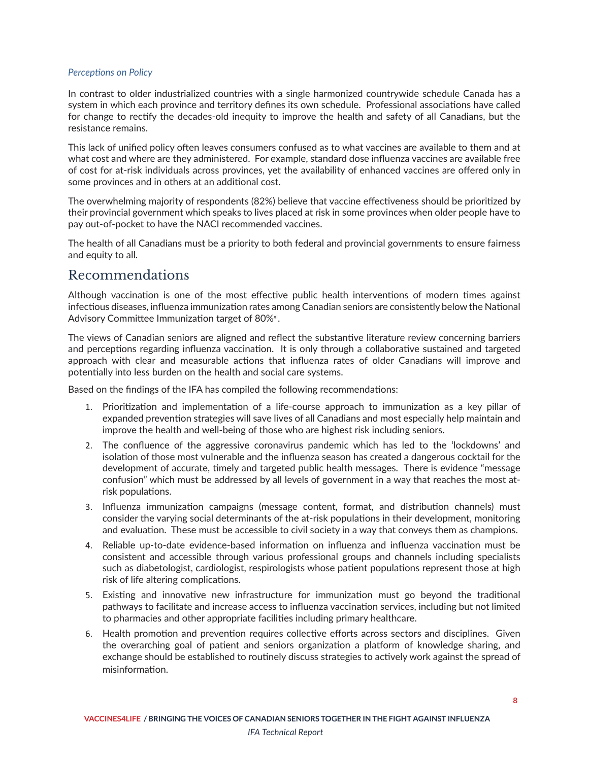#### <span id="page-9-0"></span>*Perceptions on Policy*

In contrast to older industrialized countries with a single harmonized countrywide schedule Canada has a system in which each province and territory defines its own schedule. Professional associations have called for change to rectify the decades-old inequity to improve the health and safety of all Canadians, but the resistance remains.

This lack of unified policy often leaves consumers confused as to what vaccines are available to them and at what cost and where are they administered. For example, standard dose influenza vaccines are available free of cost for at-risk individuals across provinces, yet the availability of enhanced vaccines are offered only in some provinces and in others at an additional cost.

The overwhelming majority of respondents (82%) believe that vaccine effectiveness should be prioritized by their provincial government which speaks to lives placed at risk in some provinces when older people have to pay out-of-pocket to have the NACI recommended vaccines.

The health of all Canadians must be a priority to both federal and provincial governments to ensure fairness and equity to all.

## Recommendations

Although vaccination is one of the most effective public health interventions of modern times against infectious diseases, influenza immunization rates among Canadian seniors are consistently below the National Advisory Committee Immunization target of 80%<sup>x/</sup>.

The views of Canadian seniors are aligned and reflect the substantive literature review concerning barriers and perceptions regarding influenza vaccination. It is only through a collaborative sustained and targeted approach with clear and measurable actions that influenza rates of older Canadians will improve and potentially into less burden on the health and social care systems.

Based on the findings of the IFA has compiled the following recommendations:

- 1. Prioritization and implementation of a life-course approach to immunization as a key pillar of expanded prevention strategies will save lives of all Canadians and most especially help maintain and improve the health and well-being of those who are highest risk including seniors.
- 2. The confluence of the aggressive coronavirus pandemic which has led to the 'lockdowns' and isolation of those most vulnerable and the influenza season has created a dangerous cocktail for the development of accurate, timely and targeted public health messages. There is evidence "message confusion" which must be addressed by all levels of government in a way that reaches the most atrisk populations.
- 3. Influenza immunization campaigns (message content, format, and distribution channels) must consider the varying social determinants of the at-risk populations in their development, monitoring and evaluation. These must be accessible to civil society in a way that conveys them as champions.
- 4. Reliable up-to-date evidence-based information on influenza and influenza vaccination must be consistent and accessible through various professional groups and channels including specialists such as diabetologist, cardiologist, respirologists whose patient populations represent those at high risk of life altering complications.
- 5. Existing and innovative new infrastructure for immunization must go beyond the traditional pathways to facilitate and increase access to influenza vaccination services, including but not limited to pharmacies and other appropriate facilities including primary healthcare.
- 6. Health promotion and prevention requires collective efforts across sectors and disciplines. Given the overarching goal of patient and seniors organization a platform of knowledge sharing, and exchange should be established to routinely discuss strategies to actively work against the spread of misinformation.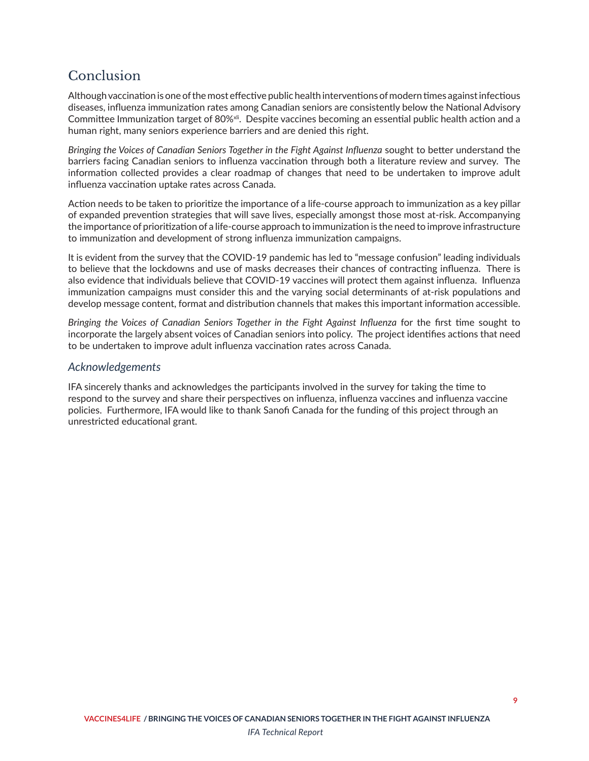# <span id="page-10-0"></span>Conclusion

Although vaccination is one of the most effective public health interventions of modern times against infectious diseases, influenza immunization rates among Canadian seniors are consistently below the National Advisory Committee Immunization target of 80%<sup>xij</sup>. Despite vaccines becoming an essential public health action and a human right, many seniors experience barriers and are denied this right.

*Bringing the Voices of Canadian Seniors Together in the Fight Against Influenza* sought to better understand the barriers facing Canadian seniors to influenza vaccination through both a literature review and survey. The information collected provides a clear roadmap of changes that need to be undertaken to improve adult influenza vaccination uptake rates across Canada.

Action needs to be taken to prioritize the importance of a life-course approach to immunization as a key pillar of expanded prevention strategies that will save lives, especially amongst those most at-risk. Accompanying the importance of prioritization of a life-course approach to immunization is the need to improve infrastructure to immunization and development of strong influenza immunization campaigns.

It is evident from the survey that the COVID-19 pandemic has led to "message confusion" leading individuals to believe that the lockdowns and use of masks decreases their chances of contracting influenza. There is also evidence that individuals believe that COVID-19 vaccines will protect them against influenza. Influenza immunization campaigns must consider this and the varying social determinants of at-risk populations and develop message content, format and distribution channels that makes this important information accessible.

*Bringing the Voices of Canadian Seniors Together in the Fight Against Influenza* for the first time sought to incorporate the largely absent voices of Canadian seniors into policy. The project identifies actions that need to be undertaken to improve adult influenza vaccination rates across Canada.

## *Acknowledgements*

IFA sincerely thanks and acknowledges the participants involved in the survey for taking the time to respond to the survey and share their perspectives on influenza, influenza vaccines and influenza vaccine policies. Furthermore, IFA would like to thank Sanofi Canada for the funding of this project through an unrestricted educational grant.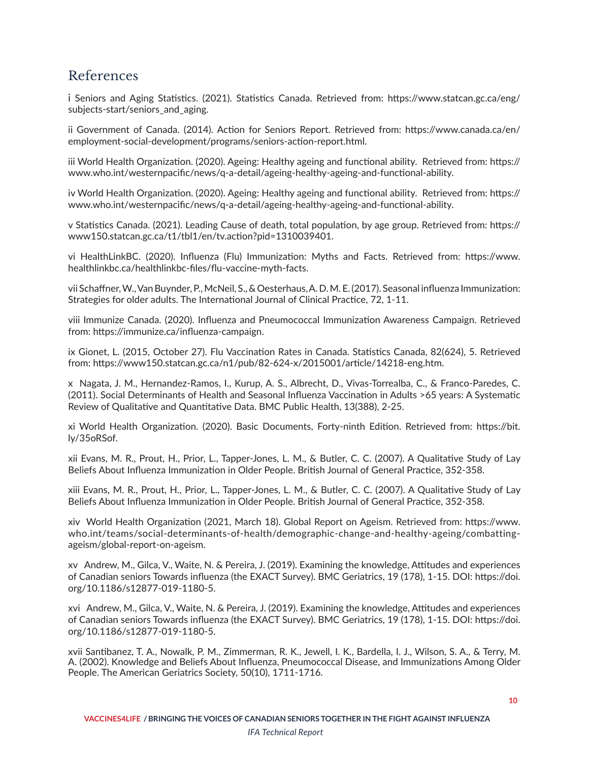# <span id="page-11-0"></span>References

[i](#page-2-0) Seniors and Aging Statistics. (2021). Statistics Canada. Retrieved from: https://www.statcan.gc.ca/eng/ subjects-start/seniors and aging.

[ii](#page-2-0) Government of Canada. (2014). Action for Seniors Report. Retrieved from: https://www.canada.ca/en/ employment-social-development/programs/seniors-action-report.html.

[iii](#page-2-0) World Health Organization. (2020). Ageing: Healthy ageing and functional ability. Retrieved from: https:// www.who.int/westernpacific/news/q-a-detail/ageing-healthy-ageing-and-functional-ability.

[iv](#page-2-0) World Health Organization. (2020). Ageing: Healthy ageing and functional ability. Retrieved from: https:// www.who.int/westernpacific/news/q-a-detail/ageing-healthy-ageing-and-functional-ability.

[v](#page-2-0) Statistics Canada. (2021). Leading Cause of death, total population, by age group. Retrieved from: https:// www150.statcan.gc.ca/t1/tbl1/en/tv.action?pid=1310039401.

[vi](#page-2-0) HealthLinkBC. (2020). Influenza (Flu) Immunization: Myths and Facts. Retrieved from: https://www. healthlinkbc.ca/healthlinkbc-files/flu-vaccine-myth-facts.

[vii](#page-2-0) Schaffner, W., Van Buynder, P., McNeil, S., & Oesterhaus, A. D. M. E. (2017). Seasonal influenza Immunization: Strategies for older adults. The International Journal of Clinical Practice, 72, 1-11.

[viii](#page-2-0) Immunize Canada. (2020). Influenza and Pneumococcal Immunization Awareness Campaign. Retrieved from: https://immunize.ca/influenza-campaign.

[ix](#page-2-0) Gionet, L. (2015, October 27). Flu Vaccination Rates in Canada. Statistics Canada, 82(624), 5. Retrieved from: https://www150.statcan.gc.ca/n1/pub/82-624-x/2015001/article/14218-eng.htm.

[x](#page-3-0) Nagata, J. M., Hernandez-Ramos, I., Kurup, A. S., Albrecht, D., Vivas-Torrealba, C., & Franco-Paredes, C. (2011). Social Determinants of Health and Seasonal Influenza Vaccination in Adults >65 years: A Systematic Review of Qualitative and Quantitative Data. BMC Public Health, 13(388), 2-25.

[xi](#page-3-0) World Health Organization. (2020). Basic Documents, Forty-ninth Edition. Retrieved from: https://bit. ly/35oRSof.

[xii](#page-3-0) Evans, M. R., Prout, H., Prior, L., Tapper-Jones, L. M., & Butler, C. C. (2007). A Qualitative Study of Lay Beliefs About Influenza Immunization in Older People. British Journal of General Practice, 352-358.

[xiii](#page-3-0) Evans, M. R., Prout, H., Prior, L., Tapper-Jones, L. M., & Butler, C. C. (2007). A Qualitative Study of Lay Beliefs About Influenza Immunization in Older People. British Journal of General Practice, 352-358.

[xiv](#page-3-0) World Health Organization (2021, March 18). Global Report on Ageism. Retrieved from: https://www. who.int/teams/social-determinants-of-health/demographic-change-and-healthy-ageing/combattingageism/global-report-on-ageism.

[xv](#page-3-0) Andrew, M., Gilca, V., Waite, N. & Pereira, J. (2019). Examining the knowledge, Attitudes and experiences of Canadian seniors Towards influenza (the EXACT Survey). BMC Geriatrics, 19 (178), 1-15. DOI: https://doi. org/10.1186/s12877-019-1180-5.

[xvi](#page-4-0) Andrew, M., Gilca, V., Waite, N. & Pereira, J. (2019). Examining the knowledge, Attitudes and experiences of Canadian seniors Towards influenza (the EXACT Survey). BMC Geriatrics, 19 (178), 1-15. DOI: https://doi. org/10.1186/s12877-019-1180-5.

[xvii](#page-4-0) Santibanez, T. A., Nowalk, P. M., Zimmerman, R. K., Jewell, I. K., Bardella, I. J., Wilson, S. A., & Terry, M. A. (2002). Knowledge and Beliefs About Influenza, Pneumococcal Disease, and Immunizations Among Older People. The American Geriatrics Society, 50(10), 1711-1716.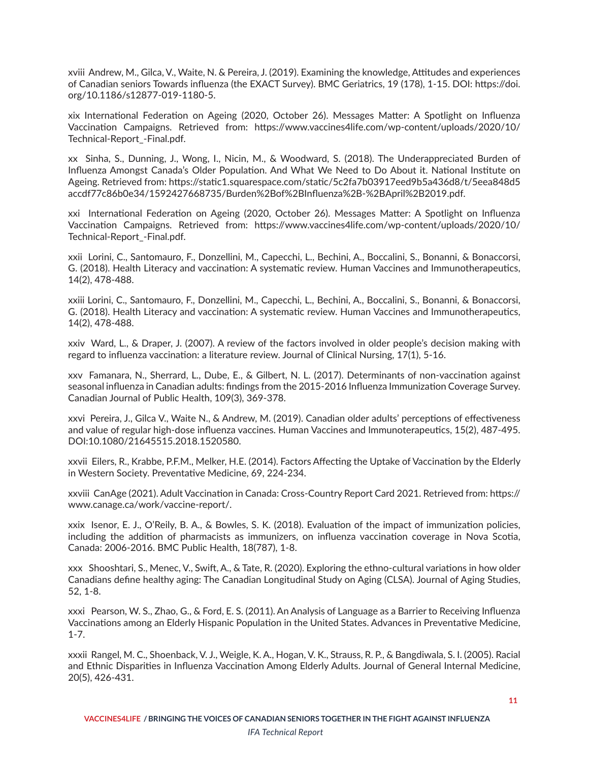<span id="page-12-0"></span>[xviii](#page-4-0) Andrew, M., Gilca, V., Waite, N. & Pereira, J. (2019). Examining the knowledge, Attitudes and experiences of Canadian seniors Towards influenza (the EXACT Survey). BMC Geriatrics, 19 (178), 1-15. DOI: https://doi. org/10.1186/s12877-019-1180-5.

[xix](#page-4-0) International Federation on Ageing (2020, October 26). Messages Matter: A Spotlight on Influenza Vaccination Campaigns. Retrieved from: https://www.vaccines4life.com/wp-content/uploads/2020/10/ Technical-Report\_-Final.pdf.

[xx](#page-4-0) Sinha, S., Dunning, J., Wong, I., Nicin, M., & Woodward, S. (2018). The Underappreciated Burden of Influenza Amongst Canada's Older Population. And What We Need to Do About it. National Institute on Ageing. Retrieved from: https://static1.squarespace.com/static/5c2fa7b03917eed9b5a436d8/t/5eea848d5 accdf77c86b0e34/1592427668735/Burden%2Bof%2BInfluenza%2B-%2BApril%2B2019.pdf.

[xxi](#page-4-0) International Federation on Ageing (2020, October 26). Messages Matter: A Spotlight on Influenza Vaccination Campaigns. Retrieved from: https://www.vaccines4life.com/wp-content/uploads/2020/10/ Technical-Report\_-Final.pdf.

[xxii](#page-4-0) Lorini, C., Santomauro, F., Donzellini, M., Capecchi, L., Bechini, A., Boccalini, S., Bonanni, & Bonaccorsi, G. (2018). Health Literacy and vaccination: A systematic review. Human Vaccines and Immunotherapeutics, 14(2), 478-488.

[xxiii](#page-4-0) Lorini, C., Santomauro, F., Donzellini, M., Capecchi, L., Bechini, A., Boccalini, S., Bonanni, & Bonaccorsi, G. (2018). Health Literacy and vaccination: A systematic review. Human Vaccines and Immunotherapeutics, 14(2), 478-488.

[xxiv](#page-4-0) Ward, L., & Draper, J. (2007). A review of the factors involved in older people's decision making with regard to influenza vaccination: a literature review. Journal of Clinical Nursing, 17(1), 5-16.

[xxv](#page-4-0) Famanara, N., Sherrard, L., Dube, E., & Gilbert, N. L. (2017). Determinants of non-vaccination against seasonal influenza in Canadian adults: findings from the 2015-2016 Influenza Immunization Coverage Survey. Canadian Journal of Public Health, 109(3), 369-378.

[xxvi](#page-4-0) Pereira, J., Gilca V., Waite N., & Andrew, M. (2019). Canadian older adults' perceptions of effectiveness and value of regular high-dose influenza vaccines. Human Vaccines and Immunoterapeutics, 15(2), 487-495. DOI:10.1080/21645515.2018.1520580.

[xxvii](#page-4-0) Eilers, R., Krabbe, P.F.M., Melker, H.E. (2014). Factors Affecting the Uptake of Vaccination by the Elderly in Western Society. Preventative Medicine, 69, 224-234.

[xxviii](#page-4-0) CanAge (2021). Adult Vaccination in Canada: Cross-Country Report Card 2021. Retrieved from: https:// www.canage.ca/work/vaccine-report/.

[xxix](#page-4-0) Isenor, E. J., O'Reily, B. A., & Bowles, S. K. (2018). Evaluation of the impact of immunization policies, including the addition of pharmacists as immunizers, on influenza vaccination coverage in Nova Scotia, Canada: 2006-2016. BMC Public Health, 18(787), 1-8.

[xxx](#page-5-0) Shooshtari, S., Menec, V., Swift, A., & Tate, R. (2020). Exploring the ethno-cultural variations in how older Canadians define healthy aging: The Canadian Longitudinal Study on Aging (CLSA). Journal of Aging Studies, 52, 1-8.

[xxxi](#page-5-0) Pearson, W. S., Zhao, G., & Ford, E. S. (2011). An Analysis of Language as a Barrier to Receiving Influenza Vaccinations among an Elderly Hispanic Population in the United States. Advances in Preventative Medicine, 1-7.

[xxxii](#page-5-0) Rangel, M. C., Shoenback, V. J., Weigle, K. A., Hogan, V. K., Strauss, R. P., & Bangdiwala, S. I. (2005). Racial and Ethnic Disparities in Influenza Vaccination Among Elderly Adults. Journal of General Internal Medicine, 20(5), 426-431.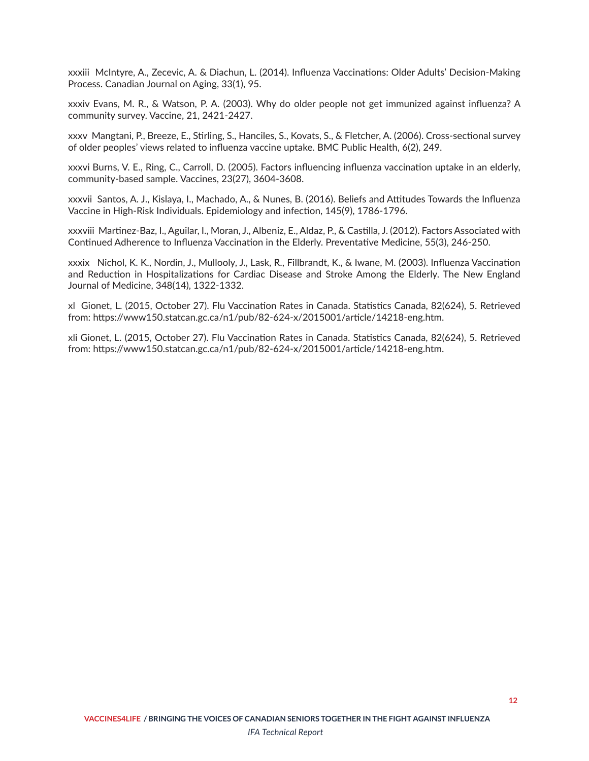<span id="page-13-0"></span>[xxxiii](#page-5-0) McIntyre, A., Zecevic, A. & Diachun, L. (2014). Influenza Vaccinations: Older Adults' Decision-Making Process. Canadian Journal on Aging, 33(1), 95.

[xxxiv](#page-5-0) Evans, M. R., & Watson, P. A. (2003). Why do older people not get immunized against influenza? A community survey. Vaccine, 21, 2421-2427.

[xxxv](#page-5-0) Mangtani, P., Breeze, E., Stirling, S., Hanciles, S., Kovats, S., & Fletcher, A. (2006). Cross-sectional survey of older peoples' views related to influenza vaccine uptake. BMC Public Health, 6(2), 249.

[xxxvi](#page-5-0) Burns, V. E., Ring, C., Carroll, D. (2005). Factors influencing influenza vaccination uptake in an elderly, community-based sample. Vaccines, 23(27), 3604-3608.

[xxxvii](#page-5-0) Santos, A. J., Kislaya, I., Machado, A., & Nunes, B. (2016). Beliefs and Attitudes Towards the Influenza Vaccine in High-Risk Individuals. Epidemiology and infection, 145(9), 1786-1796.

[xxxviii](#page-6-0) Martinez-Baz, I., Aguilar, I., Moran, J., Albeniz, E., Aldaz, P., & Castilla, J. (2012). Factors Associated with Continued Adherence to Influenza Vaccination in the Elderly. Preventative Medicine, 55(3), 246-250.

[xxxix](#page-6-0) Nichol, K. K., Nordin, J., Mullooly, J., Lask, R., Fillbrandt, K., & Iwane, M. (2003). Influenza Vaccination and Reduction in Hospitalizations for Cardiac Disease and Stroke Among the Elderly. The New England Journal of Medicine, 348(14), 1322-1332.

[xl](#page-9-0) Gionet, L. (2015, October 27). Flu Vaccination Rates in Canada. Statistics Canada, 82(624), 5. Retrieved from: https://www150.statcan.gc.ca/n1/pub/82-624-x/2015001/article/14218-eng.htm.

[xli](#page-10-0) Gionet, L. (2015, October 27). Flu Vaccination Rates in Canada. Statistics Canada, 82(624), 5. Retrieved from: https://www150.statcan.gc.ca/n1/pub/82-624-x/2015001/article/14218-eng.htm.